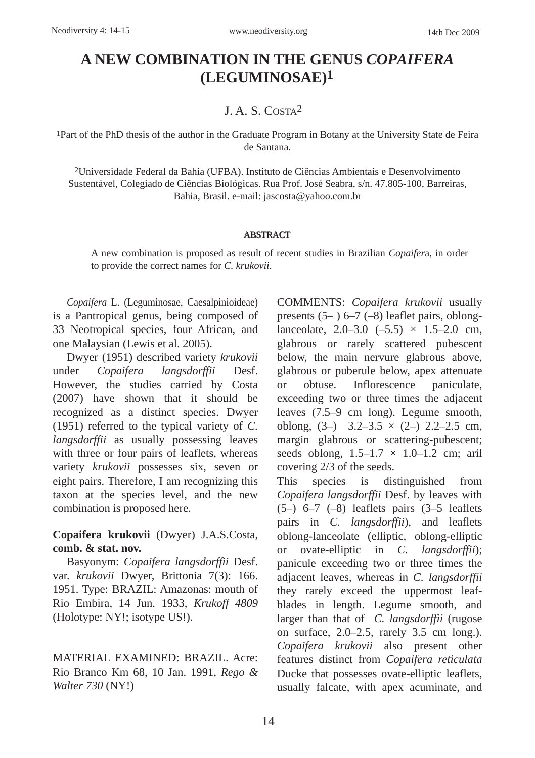# **A NEW COMBINATION IN THE GENUS** *COPAIFERA* **(LEGUMINOSAE) 1**

### J. A. S. COSTA2

1Part of the PhD thesis of the author in the Graduate Program in Botany at the University State de Feira de Santana.

2Universidade Federal da Bahia (UFBA). Instituto de Ciências Ambientais e Desenvolvimento Sustentável, Colegiado de Ciências Biológicas. Rua Prof. José Seabra, s/n. 47.805-100, Barreiras, Bahia, Brasil. e-mail: jascosta@yahoo.com.br

#### ABSTRACT

A new combination is proposed as result of recent studies in Brazilian *Copaifer*a, in order to provide the correct names for *C. krukovii*.

*Copaifera* L. (Leguminosae, Caesalpinioideae) is a Pantropical genus, being composed of 33 Neotropical species, four African, and one Malaysian (Lewis et al. 2005).

Dwyer (1951) described variety *krukovii* under *Copaifera langsdorffii* Desf. However, the studies carried by Costa (2007) have shown that it should be recognized as a distinct species. Dwyer (1951) referred to the typical variety of *C. langsdorffii* as usually possessing leaves with three or four pairs of leaflets, whereas variety *krukovii* possesses six, seven or eight pairs. Therefore, I am recognizing this taxon at the species level, and the new combination is proposed here.

**Copaifera krukovii** (Dwyer) J.A.S.Costa, **comb. & stat. nov.**

Basyonym: *Copaifera langsdorffii* Desf. var. *krukovii* Dwyer, Brittonia 7(3): 166. 1951. Type: BRAZIL: Amazonas: mouth of Rio Embira, 14 Jun. 1933, *Krukoff 4809* (Holotype: NY!; isotype US!).

MATERIAL EXAMINED: BRAZIL. Acre: Rio Branco Km 68, 10 Jan. 1991, *Rego & Walter 730* (NY!)

COMMENTS: *Copaifera krukovii* usually presents  $(5-)$  6–7 (–8) leaflet pairs, oblonglanceolate,  $2.0-3.0$   $(-5.5) \times 1.5-2.0$  cm, glabrous or rarely scattered pubescent below, the main nervure glabrous above, glabrous or puberule below, apex attenuate or obtuse. Inflorescence paniculate, exceeding two or three times the adjacent leaves (7.5–9 cm long). Legume smooth, oblong,  $(3-)$  3.2–3.5  $\times$   $(2-)$  2.2–2.5 cm, margin glabrous or scattering-pubescent; seeds oblong,  $1.5-1.7 \times 1.0-1.2$  cm; aril covering 2/3 of the seeds.

This species is distinguished from *Copaifera langsdorffii* Desf. by leaves with  $(5-)$   $6-7$   $(-8)$  leaflets pairs  $(3-5)$  leaflets pairs in *C. langsdorffii*), and leaflets oblong-lanceolate (elliptic, oblong-elliptic or ovate-elliptic in *C. langsdorffii*); panicule exceeding two or three times the adjacent leaves, whereas in *C. langsdorffii* they rarely exceed the uppermost leafblades in length. Legume smooth, and larger than that of *C. langsdorffii* (rugose on surface, 2.0–2.5, rarely 3.5 cm long.). *Copaifera krukovii* also present other features distinct from *Copaifera reticulata* Ducke that possesses ovate-elliptic leaflets, usually falcate, with apex acuminate, and